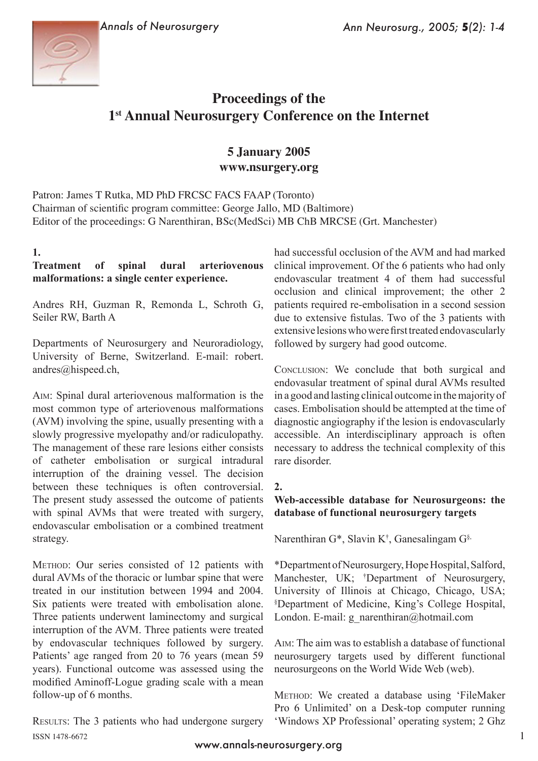



# **Proceedings of the 1st Annual Neurosurgery Conference on the Internet**

## **5 January 2005 www.nsurgery.org**

Patron: James T Rutka, MD PhD FRCSC FACS FAAP (Toronto) Chairman of scientific program committee: George Jallo, MD (Baltimore) Editor of the proceedings: G Narenthiran, BSc(MedSci) MB ChB MRCSE (Grt. Manchester)

## **1.**

## **Treatment of spinal dural arteriovenous malformations: a single center experience.**

Andres RH, Guzman R, Remonda L, Schroth G, Seiler RW, Barth A

Departments of Neurosurgery and Neuroradiology, University of Berne, Switzerland. E-mail: robert. andres@hispeed.ch,

Aim: Spinal dural arteriovenous malformation is the most common type of arteriovenous malformations (AVM) involving the spine, usually presenting with a slowly progressive myelopathy and/or radiculopathy. The management of these rare lesions either consists of catheter embolisation or surgical intradural interruption of the draining vessel. The decision between these techniques is often controversial. The present study assessed the outcome of patients with spinal AVMs that were treated with surgery, endovascular embolisation or a combined treatment strategy.

Method: Our series consisted of 12 patients with dural AVMs of the thoracic or lumbar spine that were treated in our institution between 1994 and 2004. Six patients were treated with embolisation alone. Three patients underwent laminectomy and surgical interruption of the AVM. Three patients were treated by endovascular techniques followed by surgery. Patients' age ranged from 20 to 76 years (mean 59 years). Functional outcome was assessed using the modified Aminoff-Logue grading scale with a mean follow-up of 6 months.

Results: The 3 patients who had undergone surgery ISSN 1478-6672

had successful occlusion of the AVM and had marked clinical improvement. Of the 6 patients who had only endovascular treatment 4 of them had successful occlusion and clinical improvement; the other 2 patients required re-embolisation in a second session due to extensive fistulas. Two of the 3 patients with extensive lesions who were first treated endovascularly followed by surgery had good outcome.

CONCLUSION: We conclude that both surgical and endovasular treatment of spinal dural AVMs resulted in a good and lasting clinical outcome in the majority of cases. Embolisation should be attempted at the time of diagnostic angiography if the lesion is endovascularly accessible. An interdisciplinary approach is often necessary to address the technical complexity of this rare disorder.

#### **2.**

#### **Web-accessible database for Neurosurgeons: the database of functional neurosurgery targets**

Narenthiran G\*, Slavin K† , Ganesalingam G§,

\*Department of Neurosurgery, Hope Hospital, Salford, Manchester, UK; † Department of Neurosurgery, University of Illinois at Chicago, Chicago, USA; § Department of Medicine, King's College Hospital, London. E-mail: g\_narenthiran@hotmail.com

Aim: The aim was to establish a database of functional neurosurgery targets used by different functional neurosurgeons on the World Wide Web (web).

Method: We created a database using 'FileMaker Pro 6 Unlimited' on a Desk-top computer running 'Windows XP Professional' operating system; 2 Ghz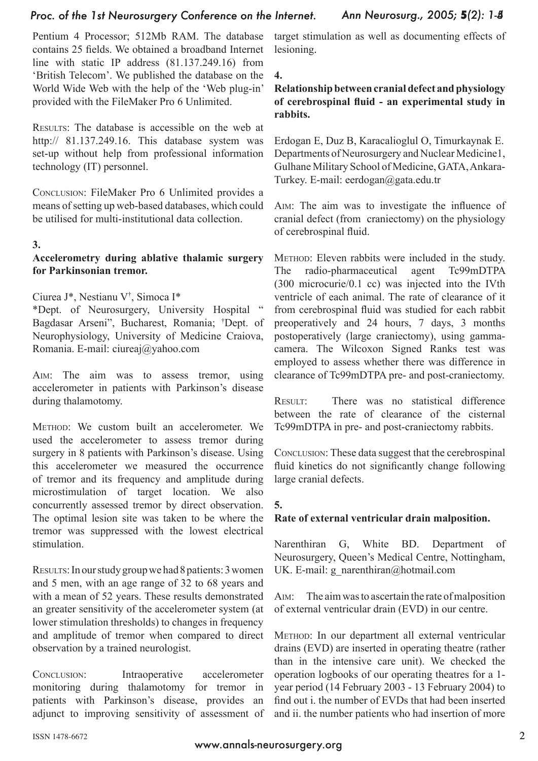#### *Proc. of the 1st Neurosurgery Conference on the Internet.*

Pentium 4 Processor; 512Mb RAM. The database contains 25 fields. We obtained a broadband Internet line with static IP address (81.137.249.16) from 'British Telecom'. We published the database on the World Wide Web with the help of the 'Web plug-in' provided with the FileMaker Pro 6 Unlimited.

Results: The database is accessible on the web at http:// 81.137.249.16. This database system was set-up without help from professional information technology (IT) personnel.

Conclusion: FileMaker Pro 6 Unlimited provides a means of setting up web-based databases, which could be utilised for multi-institutional data collection.

#### **3.**

#### **Accelerometry during ablative thalamic surgery for Parkinsonian tremor.**

#### Ciurea J\*, Nestianu V† , Simoca I\*

\*Dept. of Neurosurgery, University Hospital " Bagdasar Arseni", Bucharest, Romania; † Dept. of Neurophysiology, University of Medicine Craiova, Romania. E-mail: ciureaj@yahoo.com

Aim: The aim was to assess tremor, using accelerometer in patients with Parkinson's disease during thalamotomy.

Method: We custom built an accelerometer. We used the accelerometer to assess tremor during surgery in 8 patients with Parkinson's disease. Using this accelerometer we measured the occurrence of tremor and its frequency and amplitude during microstimulation of target location. We also concurrently assessed tremor by direct observation. The optimal lesion site was taken to be where the tremor was suppressed with the lowest electrical stimulation.

Results: In our study group we had 8 patients: 3 women and 5 men, with an age range of 32 to 68 years and with a mean of 52 years. These results demonstrated an greater sensitivity of the accelerometer system (at lower stimulation thresholds) to changes in frequency and amplitude of tremor when compared to direct observation by a trained neurologist.

Conclusion: Intraoperative accelerometer monitoring during thalamotomy for tremor in patients with Parkinson's disease, provides an adjunct to improving sensitivity of assessment of

target stimulation as well as documenting effects of lesioning.

#### **4.**

#### **Relationship between cranial defect and physiology of cerebrospinal fluid - an experimental study in rabbits.**

Erdogan E, Duz B, Karacalioglul O, Timurkaynak E. Departments of Neurosurgery and Nuclear Medicine1, Gulhane Military School of Medicine, GATA, Ankara-Turkey. E-mail: eerdogan@gata.edu.tr

Aim: The aim was to investigate the influence of cranial defect (from craniectomy) on the physiology of cerebrospinal fluid.

Method: Eleven rabbits were included in the study. The radio-pharmaceutical agent Tc99mDTPA (300 microcurie/0.1 cc) was injected into the IVth ventricle of each animal. The rate of clearance of it from cerebrospinal fluid was studied for each rabbit preoperatively and 24 hours, 7 days, 3 months postoperatively (large craniectomy), using gammacamera. The Wilcoxon Signed Ranks test was employed to assess whether there was difference in clearance of Tc99mDTPA pre- and post-craniectomy.

RESULT: There was no statistical difference between the rate of clearance of the cisternal Tc99mDTPA in pre- and post-craniectomy rabbits.

Conclusion: These data suggest that the cerebrospinal fluid kinetics do not significantly change following large cranial defects.

#### **5.**

#### **Rate of external ventricular drain malposition.**

Narenthiran G, White BD. Department of Neurosurgery, Queen's Medical Centre, Nottingham, UK. E-mail: g\_narenthiran@hotmail.com

Aim: The aim was to ascertain the rate of malposition of external ventricular drain (EVD) in our centre.

Method: In our department all external ventricular drains (EVD) are inserted in operating theatre (rather than in the intensive care unit). We checked the operation logbooks of our operating theatres for a 1 year period (14 February 2003 - 13 February 2004) to find out i. the number of EVDs that had been inserted and ii. the number patients who had insertion of more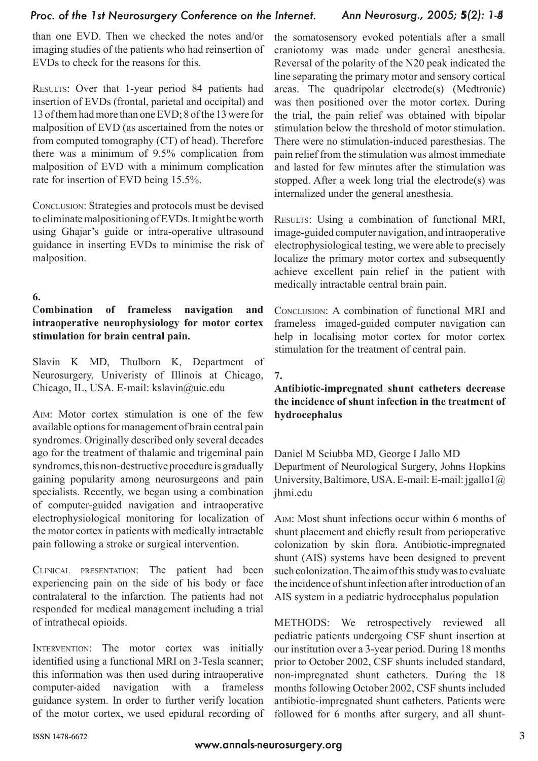#### *Proc. of the 1st Neurosurgery Conference on the Internet.*

than one EVD. Then we checked the notes and/or imaging studies of the patients who had reinsertion of EVDs to check for the reasons for this.

Results: Over that 1-year period 84 patients had insertion of EVDs (frontal, parietal and occipital) and 13 of them had more than one EVD; 8 of the 13 were for malposition of EVD (as ascertained from the notes or from computed tomography (CT) of head). Therefore there was a minimum of 9.5% complication from malposition of EVD with a minimum complication rate for insertion of EVD being 15.5%.

Conclusion: Strategies and protocols must be devised to eliminate malpositioning of EVDs. It might be worth using Ghajar's guide or intra-operative ultrasound guidance in inserting EVDs to minimise the risk of malposition.

#### **6.**

## C**ombination of frameless navigation and intraoperative neurophysiology for motor cortex stimulation for brain central pain.**

Slavin K MD, Thulborn K, Department of Neurosurgery, Univeristy of Illinois at Chicago, Chicago, IL, USA. E-mail: kslavin@uic.edu

Aim: Motor cortex stimulation is one of the few available options for management of brain central pain syndromes. Originally described only several decades ago for the treatment of thalamic and trigeminal pain syndromes, this non-destructive procedure is gradually gaining popularity among neurosurgeons and pain specialists. Recently, we began using a combination of computer-guided navigation and intraoperative electrophysiological monitoring for localization of the motor cortex in patients with medically intractable pain following a stroke or surgical intervention.

Clinical presentation: The patient had been experiencing pain on the side of his body or face contralateral to the infarction. The patients had not responded for medical management including a trial of intrathecal opioids.

INTERVENTION: The motor cortex was initially identified using a functional MRI on 3-Tesla scanner; this information was then used during intraoperative computer-aided navigation with a frameless guidance system. In order to further verify location of the motor cortex, we used epidural recording of the somatosensory evoked potentials after a small craniotomy was made under general anesthesia. Reversal of the polarity of the N20 peak indicated the line separating the primary motor and sensory cortical areas. The quadripolar electrode(s) (Medtronic) was then positioned over the motor cortex. During the trial, the pain relief was obtained with bipolar stimulation below the threshold of motor stimulation. There were no stimulation-induced paresthesias. The pain relief from the stimulation was almost immediate and lasted for few minutes after the stimulation was stopped. After a week long trial the electrode(s) was internalized under the general anesthesia.

RESULTS: Using a combination of functional MRI, image-guided computer navigation, and intraoperative electrophysiological testing, we were able to precisely localize the primary motor cortex and subsequently achieve excellent pain relief in the patient with medically intractable central brain pain.

Conclusion: A combination of functional MRI and frameless imaged-guided computer navigation can help in localising motor cortex for motor cortex stimulation for the treatment of central pain.

#### **7.**

#### **Antibiotic-impregnated shunt catheters decrease the incidence of shunt infection in the treatment of hydrocephalus**

Daniel M Sciubba MD, George I Jallo MD Department of Neurological Surgery, Johns Hopkins University, Baltimore, USA. E-mail: E-mail: jgallo1@ ihmi edu

Aim: Most shunt infections occur within 6 months of shunt placement and chiefly result from perioperative colonization by skin flora. Antibiotic-impregnated shunt (AIS) systems have been designed to prevent such colonization. The aim of this study was to evaluate the incidence of shunt infection after introduction of an AIS system in a pediatric hydrocephalus population

METHODS: We retrospectively reviewed all pediatric patients undergoing CSF shunt insertion at our institution over a 3-year period. During 18 months prior to October 2002, CSF shunts included standard, non-impregnated shunt catheters. During the 18 months following October 2002, CSF shunts included antibiotic-impregnated shunt catheters. Patients were followed for 6 months after surgery, and all shunt-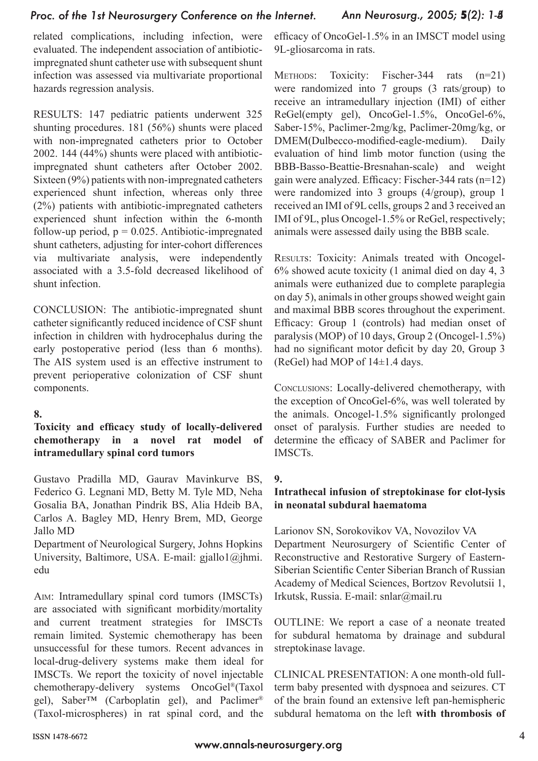## *Proc. of the 1st Neurosurgery Conference on the Internet.*

related complications, including infection, were evaluated. The independent association of antibioticimpregnated shunt catheter use with subsequent shunt infection was assessed via multivariate proportional hazards regression analysis.

RESULTS: 147 pediatric patients underwent 325 shunting procedures. 181 (56%) shunts were placed with non-impregnated catheters prior to October 2002. 144 (44%) shunts were placed with antibioticimpregnated shunt catheters after October 2002. Sixteen (9%) patients with non-impregnated catheters experienced shunt infection, whereas only three (2%) patients with antibiotic-impregnated catheters experienced shunt infection within the 6-month follow-up period,  $p = 0.025$ . Antibiotic-impregnated shunt catheters, adjusting for inter-cohort differences via multivariate analysis, were independently associated with a 3.5-fold decreased likelihood of shunt infection.

CONCLUSION: The antibiotic-impregnated shunt catheter significantly reduced incidence of CSF shunt infection in children with hydrocephalus during the early postoperative period (less than 6 months). The AIS system used is an effective instrument to prevent perioperative colonization of CSF shunt components.

#### **8.**

## **Toxicity and efficacy study of locally-delivered chemotherapy in a novel rat model of intramedullary spinal cord tumors**

Gustavo Pradilla MD, Gaurav Mavinkurve BS, Federico G. Legnani MD, Betty M. Tyle MD, Neha Gosalia BA, Jonathan Pindrik BS, Alia Hdeib BA, Carlos A. Bagley MD, Henry Brem, MD, George Jallo MD

Department of Neurological Surgery, Johns Hopkins University, Baltimore, USA. E-mail: gjallo1@jhmi. edu

Aim: Intramedullary spinal cord tumors (IMSCTs) are associated with significant morbidity/mortality and current treatment strategies for IMSCTs remain limited. Systemic chemotherapy has been unsuccessful for these tumors. Recent advances in local-drug-delivery systems make them ideal for IMSCTs. We report the toxicity of novel injectable chemotherapy-delivery systems OncoGel®(Taxol gel), Saber<sup>™</sup> (Carboplatin gel), and Paclimer<sup>®</sup> (Taxol-microspheres) in rat spinal cord, and the efficacy of OncoGel-1.5% in an IMSCT model using 9L-gliosarcoma in rats.

METHODS: Toxicity: Fischer-344 rats (n=21) were randomized into 7 groups (3 rats/group) to receive an intramedullary injection (IMI) of either ReGel(empty gel), OncoGel-1.5%, OncoGel-6%, Saber-15%, Paclimer-2mg/kg, Paclimer-20mg/kg, or DMEM(Dulbecco-modified-eagle-medium). Daily evaluation of hind limb motor function (using the BBB-Basso-Beattie-Bresnahan-scale) and weight gain were analyzed. Efficacy: Fischer-344 rats (n=12) were randomized into 3 groups (4/group), group 1 received an IMI of 9L cells, groups 2 and 3 received an IMI of 9L, plus Oncogel-1.5% or ReGel, respectively; animals were assessed daily using the BBB scale.

RESULTS: Toxicity: Animals treated with Oncogel-6% showed acute toxicity (1 animal died on day 4, 3 animals were euthanized due to complete paraplegia on day 5), animals in other groups showed weight gain and maximal BBB scores throughout the experiment. Efficacy: Group 1 (controls) had median onset of paralysis (MOP) of 10 days, Group 2 (Oncogel-1.5%) had no significant motor deficit by day 20, Group 3 (ReGel) had MOP of 14±1.4 days.

Conclusions: Locally-delivered chemotherapy, with the exception of OncoGel-6%, was well tolerated by the animals. Oncogel-1.5% significantly prolonged onset of paralysis. Further studies are needed to determine the efficacy of SABER and Paclimer for IMSCTs.

## **9.**

## **Intrathecal infusion of streptokinase for clot-lysis in neonatal subdural haematoma**

Larionov SN, Sorokovikov VA, Novozilov VA Department Neurosurgery of Scientific Center of Reconstructive and Restorative Surgery of Eastern-Siberian Scientific Center Siberian Branch of Russian Academy of Medical Sciences, Bortzov Revolutsii 1, Irkutsk, Russia. E-mail: snlar@mail.ru

OUTLINE: We report a case of a neonate treated for subdural hematoma by drainage and subdural streptokinase lavage.

CLINICAL PRESENTATION: A one month-old fullterm baby presented with dyspnoea and seizures. CT of the brain found an extensive left pan-hemispheric subdural hematoma on the left **with thrombosis of**